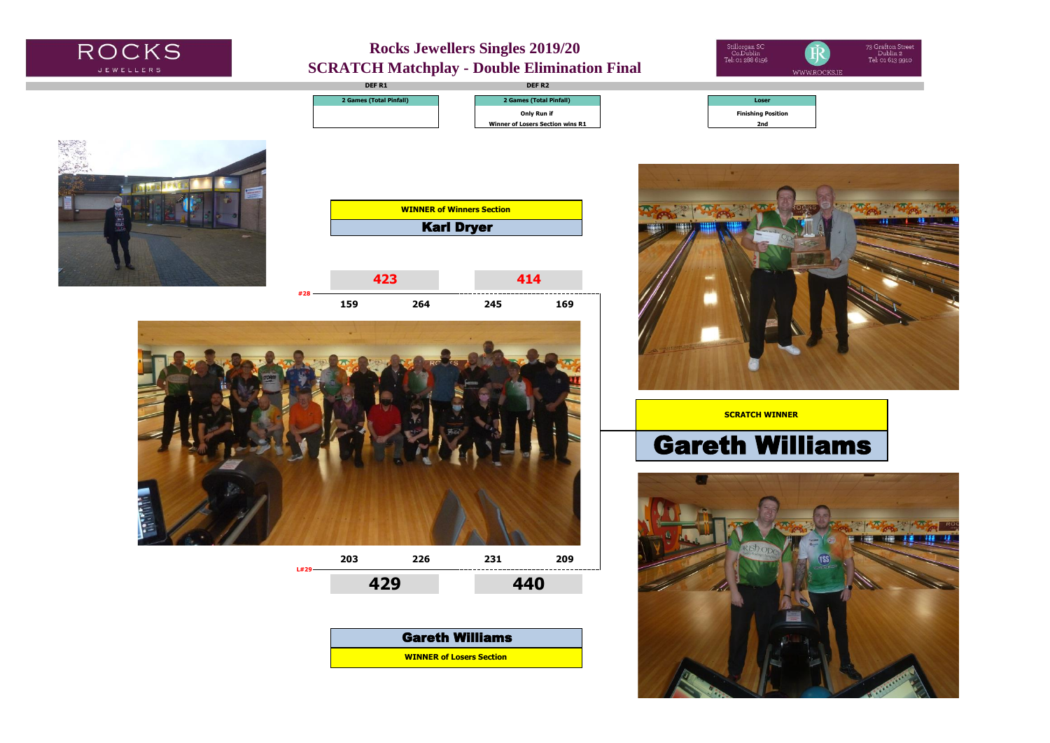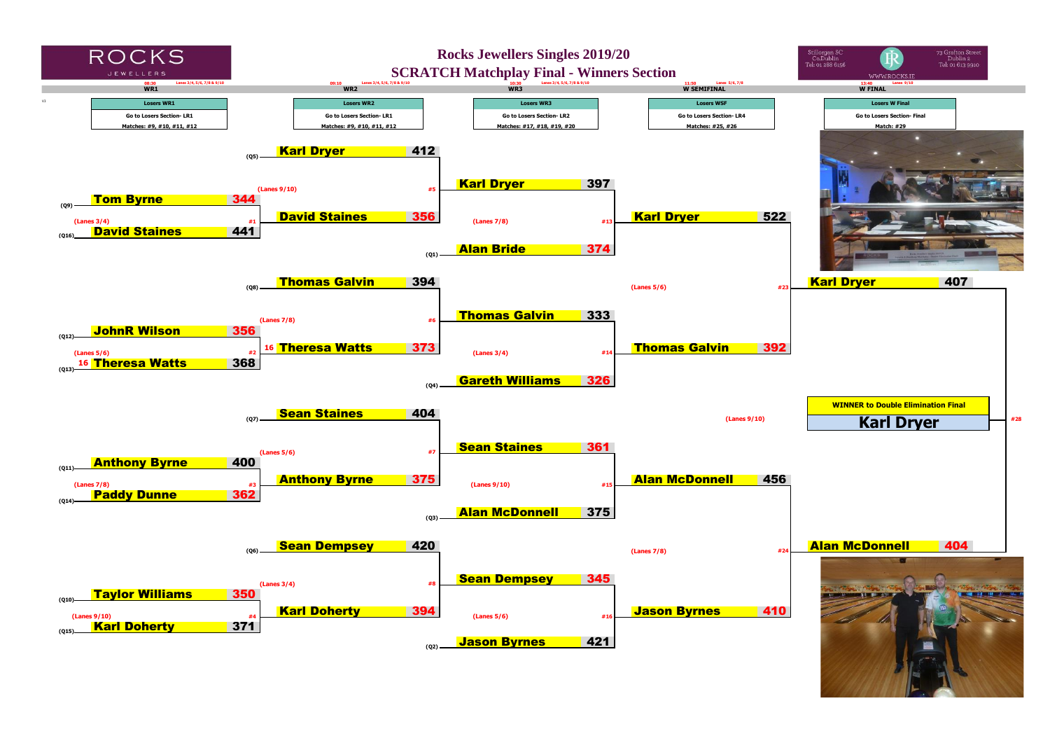